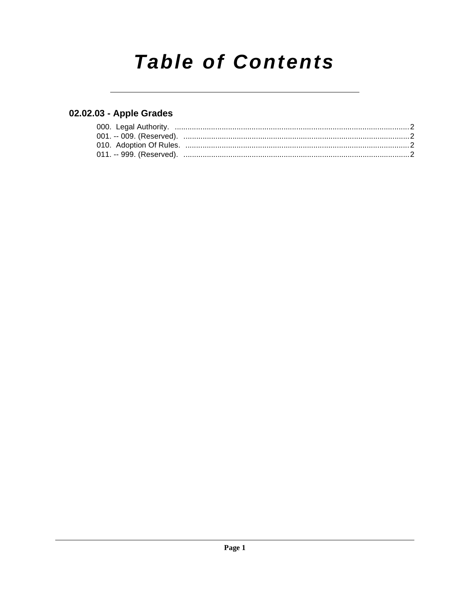# **Table of Contents**

### 02.02.03 - Apple Grades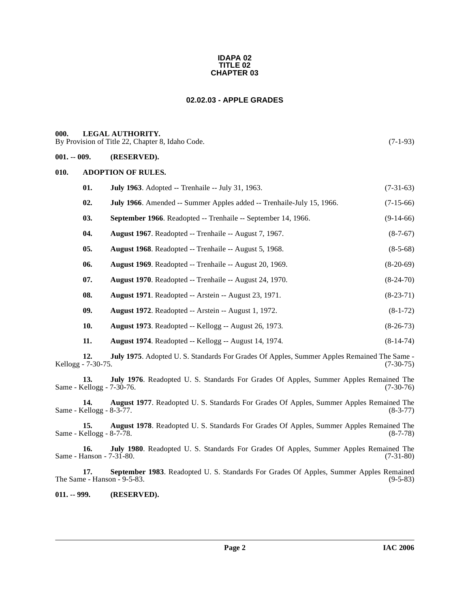#### <span id="page-1-5"></span>**IDAPA 02 TITLE 02 CHAPTER 03**

#### **02.02.03 - APPLE GRADES**

#### <span id="page-1-1"></span><span id="page-1-0"></span>**000. LEGAL AUTHORITY.**

By Provision of Title 22, Chapter 8, Idaho Code. (7-1-93)

#### <span id="page-1-2"></span>**001. -- 009. (RESERVED).**

#### <span id="page-1-3"></span>**010. ADOPTION OF RULES.**

| 01. | <b>July 1963.</b> Adopted -- Trenhaile -- July 31, 1963.              | $(7-31-63)$ |
|-----|-----------------------------------------------------------------------|-------------|
| 02. | July 1966. Amended -- Summer Apples added -- Trenhaile-July 15, 1966. | $(7-15-66)$ |
| 03. | September 1966. Readopted -- Trenhaile -- September 14, 1966.         | $(9-14-66)$ |
| 04. | <b>August 1967.</b> Readopted -- Trenhaile -- August 7, 1967.         | $(8-7-67)$  |
| 05. | <b>August 1968.</b> Readopted -- Trenhaile -- August 5, 1968.         | $(8-5-68)$  |
| 06. | <b>August 1969.</b> Readopted -- Trenhaile -- August 20, 1969.        | $(8-20-69)$ |
| 07. | <b>August 1970.</b> Readopted -- Trenhaile -- August 24, 1970.        | $(8-24-70)$ |
| 08. | <b>August 1971.</b> Readopted -- Arstein -- August 23, 1971.          | $(8-23-71)$ |
| 09. | <b>August 1972.</b> Readopted -- Arstein -- August 1, 1972.           | $(8-1-72)$  |
| 10. | <b>August 1973.</b> Readopted -- Kellogg -- August 26, 1973.          | $(8-26-73)$ |
| 11. | <b>August 1974.</b> Readopted -- Kellogg -- August 14, 1974.          | $(8-14-74)$ |

**12. July 1975**. Adopted U. S. Standards For Grades Of Apples, Summer Apples Remained The Same -  $Kellogg - 7-30-75$ .

**13. July 1976**. Readopted U. S. Standards For Grades Of Apples, Summer Apples Remained The Same - Kellogg - 7-30-76.

**14. August 1977**. Readopted U. S. Standards For Grades Of Apples, Summer Apples Remained The Same - Kellogg - 8-3-77.

**15. August 1978**. Readopted U. S. Standards For Grades Of Apples, Summer Apples Remained The Same - Kellogg - 8-7-78.

**16. July 1980**. Readopted U. S. Standards For Grades Of Apples, Summer Apples Remained The Same - Hanson - 7-31-80.

**17. September 1983**. Readopted U. S. Standards For Grades Of Apples, Summer Apples Remained The Same - Hanson - 9-5-83. (9-5-83)

<span id="page-1-4"></span>**011. -- 999. (RESERVED).**